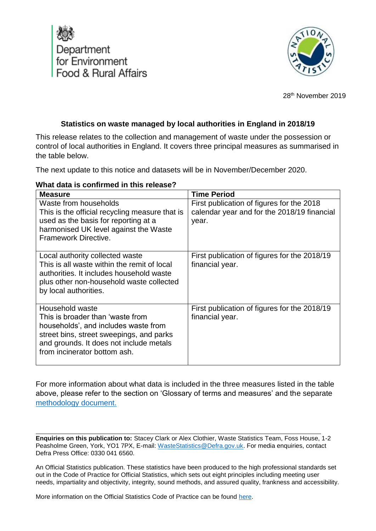



28th November 2019

#### **Statistics on waste managed by local authorities in England in 2018/19**

This release relates to the collection and management of waste under the possession or control of local authorities in England. It covers three principal measures as summarised in the table below.

The next update to this notice and datasets will be in November/December 2020.

#### **What data is confirmed in this release?**

| <b>Measure</b>                                                                                                                                                                                  | <b>Time Period</b>                           |
|-------------------------------------------------------------------------------------------------------------------------------------------------------------------------------------------------|----------------------------------------------|
| Waste from households                                                                                                                                                                           | First publication of figures for the 2018    |
| This is the official recycling measure that is                                                                                                                                                  | calendar year and for the 2018/19 financial  |
| used as the basis for reporting at a                                                                                                                                                            | year.                                        |
| harmonised UK level against the Waste                                                                                                                                                           |                                              |
| Framework Directive.                                                                                                                                                                            |                                              |
| Local authority collected waste                                                                                                                                                                 | First publication of figures for the 2018/19 |
| This is all waste within the remit of local                                                                                                                                                     | financial year.                              |
| authorities. It includes household waste                                                                                                                                                        |                                              |
| plus other non-household waste collected                                                                                                                                                        |                                              |
| by local authorities.                                                                                                                                                                           |                                              |
|                                                                                                                                                                                                 |                                              |
| Household waste                                                                                                                                                                                 | First publication of figures for the 2018/19 |
|                                                                                                                                                                                                 |                                              |
|                                                                                                                                                                                                 |                                              |
|                                                                                                                                                                                                 |                                              |
|                                                                                                                                                                                                 |                                              |
|                                                                                                                                                                                                 |                                              |
| This is broader than 'waste from<br>households', and includes waste from<br>street bins, street sweepings, and parks<br>and grounds. It does not include metals<br>from incinerator bottom ash. | financial year.                              |

For more information about what data is included in the three measures listed in the table above, please refer to the section on 'Glossary of terms and measures' and the separate [methodology document.](https://www.gov.uk/government/statistics/local-authority-collected-waste-management-annual-results)

**Enquiries on this publication to:** Stacey Clark or Alex Clothier, Waste Statistics Team, Foss House, 1-2 Peasholme Green, York, YO1 7PX, E-mail: [WasteStatistics@Defra.gov.uk.](mailto:WasteStatistics@Defra.gov.uk) For media enquiries, contact Defra Press Office: 0330 041 6560.

An Official Statistics publication. These statistics have been produced to the high professional standards set out in the Code of Practice for Official Statistics, which sets out eight principles including meeting user needs, impartiality and objectivity, integrity, sound methods, and assured quality, frankness and accessibility.

More information on the Official Statistics Code of Practice can be found [here.](https://www.statisticsauthority.gov.uk/code-of-practice/)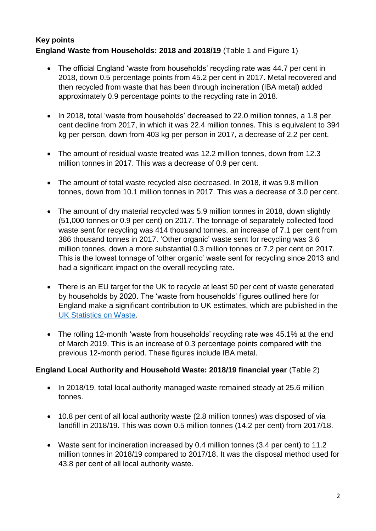# **Key points England Waste from Households: 2018 and 2018/19** (Table 1 and Figure 1)

- The official England 'waste from households' recycling rate was 44.7 per cent in 2018, down 0.5 percentage points from 45.2 per cent in 2017. Metal recovered and then recycled from waste that has been through incineration (IBA metal) added approximately 0.9 percentage points to the recycling rate in 2018.
- In 2018, total 'waste from households' decreased to 22.0 million tonnes, a 1.8 per cent decline from 2017, in which it was 22.4 million tonnes. This is equivalent to 394 kg per person, down from 403 kg per person in 2017, a decrease of 2.2 per cent.
- The amount of residual waste treated was 12.2 million tonnes, down from 12.3 million tonnes in 2017. This was a decrease of 0.9 per cent.
- The amount of total waste recycled also decreased. In 2018, it was 9.8 million tonnes, down from 10.1 million tonnes in 2017. This was a decrease of 3.0 per cent.
- The amount of dry material recycled was 5.9 million tonnes in 2018, down slightly (51,000 tonnes or 0.9 per cent) on 2017. The tonnage of separately collected food waste sent for recycling was 414 thousand tonnes, an increase of 7.1 per cent from 386 thousand tonnes in 2017. 'Other organic' waste sent for recycling was 3.6 million tonnes, down a more substantial 0.3 million tonnes or 7.2 per cent on 2017. This is the lowest tonnage of 'other organic' waste sent for recycling since 2013 and had a significant impact on the overall recycling rate.
- There is an EU target for the UK to recycle at least 50 per cent of waste generated by households by 2020. The 'waste from households' figures outlined here for England make a significant contribution to UK estimates, which are published in the [UK Statistics on Waste.](https://www.gov.uk/government/statistics/uk-waste-data)
- The rolling 12-month 'waste from households' recycling rate was 45.1% at the end of March 2019. This is an increase of 0.3 percentage points compared with the previous 12-month period. These figures include IBA metal.

#### **England Local Authority and Household Waste: 2018/19 financial year** (Table 2)

- In 2018/19, total local authority managed waste remained steady at 25.6 million tonnes.
- 10.8 per cent of all local authority waste (2.8 million tonnes) was disposed of via landfill in 2018/19. This was down 0.5 million tonnes (14.2 per cent) from 2017/18.
- Waste sent for incineration increased by 0.4 million tonnes (3.4 per cent) to 11.2 million tonnes in 2018/19 compared to 2017/18. It was the disposal method used for 43.8 per cent of all local authority waste.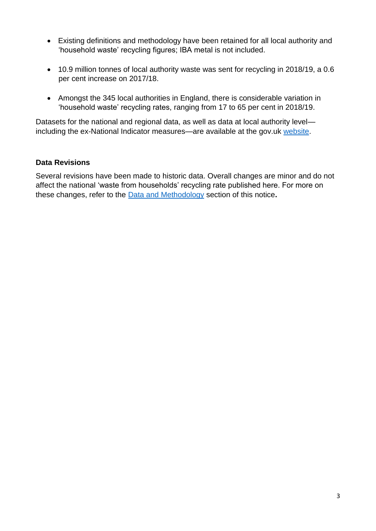- Existing definitions and methodology have been retained for all local authority and 'household waste' recycling figures; IBA metal is not included.
- 10.9 million tonnes of local authority waste was sent for recycling in 2018/19, a 0.6 per cent increase on 2017/18.
- Amongst the 345 local authorities in England, there is considerable variation in 'household waste' recycling rates, ranging from 17 to 65 per cent in 2018/19.

Datasets for the national and regional data, as well as data at local authority level including the ex-National Indicator measures—are available at the gov.uk [website.](https://www.gov.uk/government/statistical-data-sets/env18-local-authority-collected-waste-annual-results-tables)

## **Data Revisions**

Several revisions have been made to historic data. Overall changes are minor and do not affect the national 'waste from households' recycling rate published here. For more on these changes, refer to the [Data and Methodology](#page-23-0) section of this notice**.**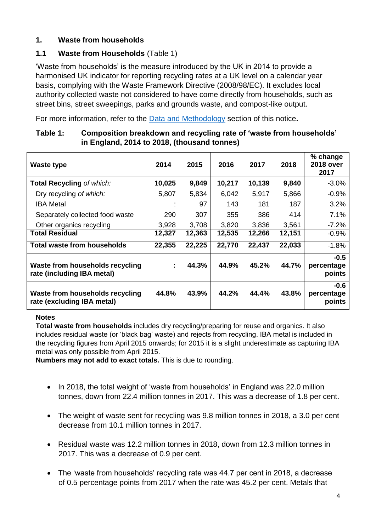# **1. Waste from households**

# **1.1 Waste from Households** (Table 1)

'Waste from households' is the measure introduced by the UK in 2014 to provide a harmonised UK indicator for reporting recycling rates at a UK level on a calendar year basis, complying with the Waste Framework Directive (2008/98/EC). It excludes local authority collected waste not considered to have come directly from households, such as street bins, street sweepings, parks and grounds waste, and compost-like output.

For more information, refer to the [Data and Methodology](#page-23-0) section of this notice**.**

| Waste type                                                    | 2014   | 2015   | 2016   | 2017   | 2018   | % change<br><b>2018 over</b><br>2017 |
|---------------------------------------------------------------|--------|--------|--------|--------|--------|--------------------------------------|
| <b>Total Recycling of which:</b>                              | 10,025 | 9,849  | 10,217 | 10,139 | 9,840  | $-3.0%$                              |
| Dry recycling of which:                                       | 5,807  | 5,834  | 6,042  | 5,917  | 5,866  | $-0.9%$                              |
| <b>IBA</b> Metal                                              |        | 97     | 143    | 181    | 187    | 3.2%                                 |
| Separately collected food waste                               | 290    | 307    | 355    | 386    | 414    | 7.1%                                 |
| Other organics recycling                                      | 3,928  | 3,708  | 3,820  | 3,836  | 3,561  | $-7.2%$                              |
| <b>Total Residual</b>                                         | 12,327 | 12,363 | 12,535 | 12,266 | 12,151 | $-0.9%$                              |
| Total waste from households                                   | 22,355 | 22,225 | 22,770 | 22,437 | 22,033 | $-1.8%$                              |
| Waste from households recycling<br>rate (including IBA metal) | ÷      | 44.3%  | 44.9%  | 45.2%  | 44.7%  | $-0.5$<br>percentage<br>points       |
| Waste from households recycling<br>rate (excluding IBA metal) | 44.8%  | 43.9%  | 44.2%  | 44.4%  | 43.8%  | $-0.6$<br>percentage<br>points       |

#### **Table 1: Composition breakdown and recycling rate of 'waste from households' in England, 2014 to 2018, (thousand tonnes)**

#### **Notes**

**Total waste from households** includes dry recycling/preparing for reuse and organics. It also includes residual waste (or 'black bag' waste) and rejects from recycling. IBA metal is included in the recycling figures from April 2015 onwards; for 2015 it is a slight underestimate as capturing IBA metal was only possible from April 2015.

**Numbers may not add to exact totals.** This is due to rounding.

- In 2018, the total weight of 'waste from households' in England was 22.0 million tonnes, down from 22.4 million tonnes in 2017. This was a decrease of 1.8 per cent.
- The weight of waste sent for recycling was 9.8 million tonnes in 2018, a 3.0 per cent decrease from 10.1 million tonnes in 2017.
- Residual waste was 12.2 million tonnes in 2018, down from 12.3 million tonnes in 2017. This was a decrease of 0.9 per cent.
- The 'waste from households' recycling rate was 44.7 per cent in 2018, a decrease of 0.5 percentage points from 2017 when the rate was 45.2 per cent. Metals that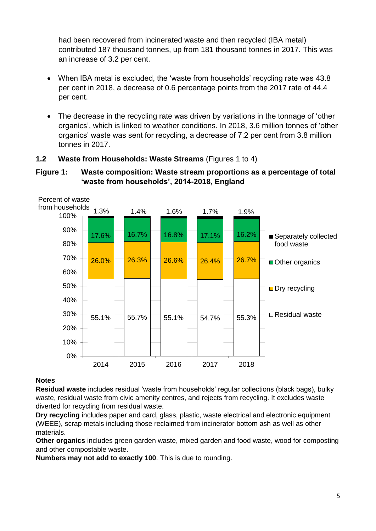had been recovered from incinerated waste and then recycled (IBA metal) contributed 187 thousand tonnes, up from 181 thousand tonnes in 2017. This was an increase of 3.2 per cent.

- When IBA metal is excluded, the 'waste from households' recycling rate was 43.8 per cent in 2018, a decrease of 0.6 percentage points from the 2017 rate of 44.4 per cent.
- The decrease in the recycling rate was driven by variations in the tonnage of 'other organics', which is linked to weather conditions. In 2018, 3.6 million tonnes of 'other organics' waste was sent for recycling, a decrease of 7.2 per cent from 3.8 million tonnes in 2017.

## **1.2 Waste from Households: Waste Streams** (Figures 1 to 4)

#### **Figure 1: Waste composition: Waste stream proportions as a percentage of total 'waste from households', 2014-2018, England**



#### **Notes**

**Residual waste** includes residual 'waste from households' regular collections (black bags), bulky waste, residual waste from civic amenity centres, and rejects from recycling. It excludes waste diverted for recycling from residual waste.

**Dry recycling** includes paper and card, glass, plastic, waste electrical and electronic equipment (WEEE), scrap metals including those reclaimed from incinerator bottom ash as well as other materials.

**Other organics** includes green garden waste, mixed garden and food waste, wood for composting and other compostable waste.

**Numbers may not add to exactly 100**. This is due to rounding.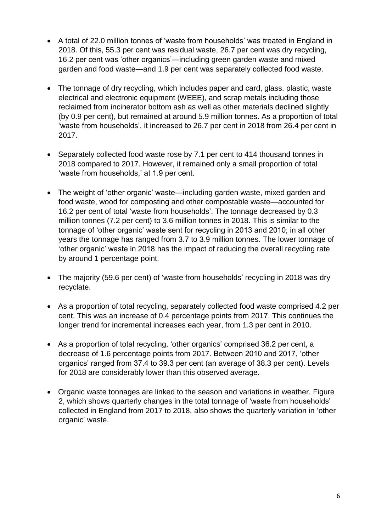- A total of 22.0 million tonnes of 'waste from households' was treated in England in 2018. Of this, 55.3 per cent was residual waste, 26.7 per cent was dry recycling, 16.2 per cent was 'other organics'—including green garden waste and mixed garden and food waste—and 1.9 per cent was separately collected food waste.
- The tonnage of dry recycling, which includes paper and card, glass, plastic, waste electrical and electronic equipment (WEEE), and scrap metals including those reclaimed from incinerator bottom ash as well as other materials declined slightly (by 0.9 per cent), but remained at around 5.9 million tonnes. As a proportion of total 'waste from households', it increased to 26.7 per cent in 2018 from 26.4 per cent in 2017.
- Separately collected food waste rose by 7.1 per cent to 414 thousand tonnes in 2018 compared to 2017. However, it remained only a small proportion of total 'waste from households,' at 1.9 per cent.
- The weight of 'other organic' waste—including garden waste, mixed garden and food waste, wood for composting and other compostable waste—accounted for 16.2 per cent of total 'waste from households'. The tonnage decreased by 0.3 million tonnes (7.2 per cent) to 3.6 million tonnes in 2018. This is similar to the tonnage of 'other organic' waste sent for recycling in 2013 and 2010; in all other years the tonnage has ranged from 3.7 to 3.9 million tonnes. The lower tonnage of 'other organic' waste in 2018 has the impact of reducing the overall recycling rate by around 1 percentage point.
- The majority (59.6 per cent) of 'waste from households' recycling in 2018 was dry recyclate.
- As a proportion of total recycling, separately collected food waste comprised 4.2 per cent. This was an increase of 0.4 percentage points from 2017. This continues the longer trend for incremental increases each year, from 1.3 per cent in 2010.
- As a proportion of total recycling, 'other organics' comprised 36.2 per cent, a decrease of 1.6 percentage points from 2017. Between 2010 and 2017, 'other organics' ranged from 37.4 to 39.3 per cent (an average of 38.3 per cent). Levels for 2018 are considerably lower than this observed average.
- Organic waste tonnages are linked to the season and variations in weather. Figure 2, which shows quarterly changes in the total tonnage of 'waste from households' collected in England from 2017 to 2018, also shows the quarterly variation in 'other organic' waste.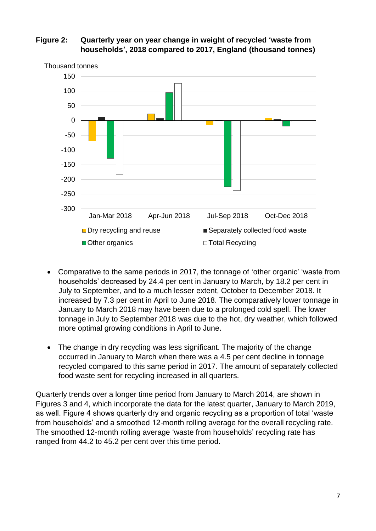#### **Figure 2: Quarterly year on year change in weight of recycled 'waste from households', 2018 compared to 2017, England (thousand tonnes)**



Thousand tonnes

- Comparative to the same periods in 2017, the tonnage of 'other organic' 'waste from households' decreased by 24.4 per cent in January to March, by 18.2 per cent in July to September, and to a much lesser extent, October to December 2018. It increased by 7.3 per cent in April to June 2018. The comparatively lower tonnage in January to March 2018 may have been due to a prolonged cold spell. The lower tonnage in July to September 2018 was due to the hot, dry weather, which followed more optimal growing conditions in April to June.
- The change in dry recycling was less significant. The majority of the change occurred in January to March when there was a 4.5 per cent decline in tonnage recycled compared to this same period in 2017. The amount of separately collected food waste sent for recycling increased in all quarters.

Quarterly trends over a longer time period from January to March 2014, are shown in Figures 3 and 4, which incorporate the data for the latest quarter, January to March 2019, as well. Figure 4 shows quarterly dry and organic recycling as a proportion of total 'waste from households' and a smoothed 12-month rolling average for the overall recycling rate. The smoothed 12-month rolling average 'waste from households' recycling rate has ranged from 44.2 to 45.2 per cent over this time period.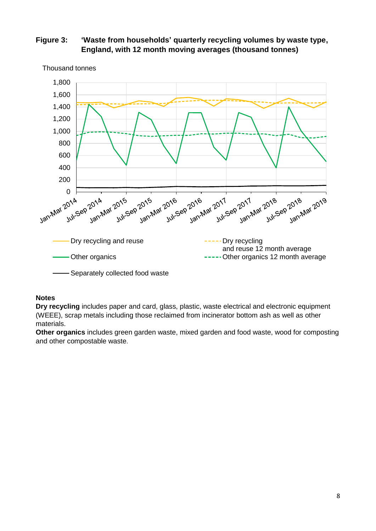#### **Figure 3: 'Waste from households' quarterly recycling volumes by waste type, England, with 12 month moving averages (thousand tonnes)**



Thousand tonnes

#### **Notes**

**Dry recycling** includes paper and card, glass, plastic, waste electrical and electronic equipment (WEEE), scrap metals including those reclaimed from incinerator bottom ash as well as other materials.

**Other organics** includes green garden waste, mixed garden and food waste, wood for composting and other compostable waste.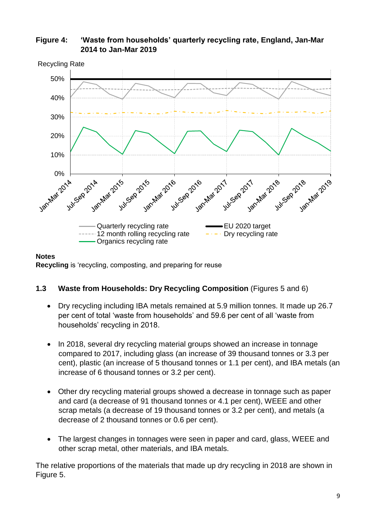

**Figure 4: 'Waste from households' quarterly recycling rate, England, Jan-Mar 2014 to Jan-Mar 2019** 

#### **Notes**

**Recycling** is 'recycling, composting, and preparing for reuse

#### **1.3 Waste from Households: Dry Recycling Composition** (Figures 5 and 6)

- Dry recycling including IBA metals remained at 5.9 million tonnes. It made up 26.7 per cent of total 'waste from households' and 59.6 per cent of all 'waste from households' recycling in 2018.
- In 2018, several dry recycling material groups showed an increase in tonnage compared to 2017, including glass (an increase of 39 thousand tonnes or 3.3 per cent), plastic (an increase of 5 thousand tonnes or 1.1 per cent), and IBA metals (an increase of 6 thousand tonnes or 3.2 per cent).
- Other dry recycling material groups showed a decrease in tonnage such as paper and card (a decrease of 91 thousand tonnes or 4.1 per cent), WEEE and other scrap metals (a decrease of 19 thousand tonnes or 3.2 per cent), and metals (a decrease of 2 thousand tonnes or 0.6 per cent).
- The largest changes in tonnages were seen in paper and card, glass, WEEE and other scrap metal, other materials, and IBA metals.

The relative proportions of the materials that made up dry recycling in 2018 are shown in Figure 5.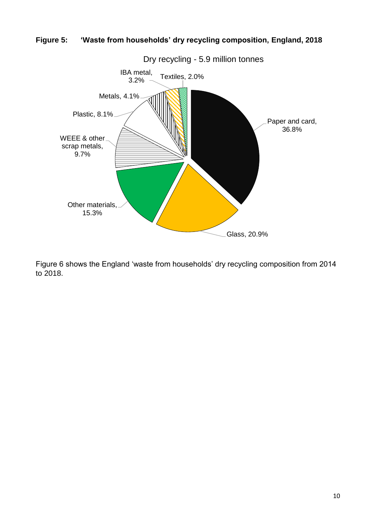



Figure 6 shows the England 'waste from households' dry recycling composition from 2014 to 2018.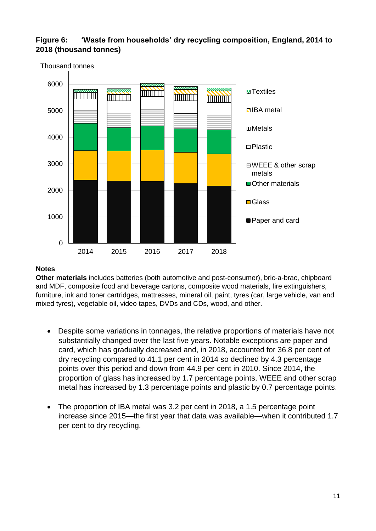# **Figure 6: 'Waste from households' dry recycling composition, England, 2014 to 2018 (thousand tonnes)**



#### **Notes**

**Other materials** includes batteries (both automotive and post-consumer), bric-a-brac, chipboard and MDF, composite food and beverage cartons, composite wood materials, fire extinguishers, furniture, ink and toner cartridges, mattresses, mineral oil, paint, tyres (car, large vehicle, van and mixed tyres), vegetable oil, video tapes, DVDs and CDs, wood, and other.

- Despite some variations in tonnages, the relative proportions of materials have not substantially changed over the last five years. Notable exceptions are paper and card, which has gradually decreased and, in 2018, accounted for 36.8 per cent of dry recycling compared to 41.1 per cent in 2014 so declined by 4.3 percentage points over this period and down from 44.9 per cent in 2010. Since 2014, the proportion of glass has increased by 1.7 percentage points, WEEE and other scrap metal has increased by 1.3 percentage points and plastic by 0.7 percentage points.
- The proportion of IBA metal was 3.2 per cent in 2018, a 1.5 percentage point increase since 2015—the first year that data was available—when it contributed 1.7 per cent to dry recycling.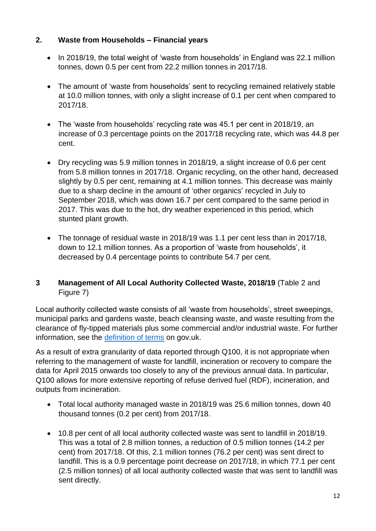# **2. Waste from Households – Financial years**

- In 2018/19, the total weight of 'waste from households' in England was 22.1 million tonnes, down 0.5 per cent from 22.2 million tonnes in 2017/18.
- The amount of 'waste from households' sent to recycling remained relatively stable at 10.0 million tonnes, with only a slight increase of 0.1 per cent when compared to 2017/18.
- The 'waste from households' recycling rate was 45.1 per cent in 2018/19, an increase of 0.3 percentage points on the 2017/18 recycling rate, which was 44.8 per cent.
- Dry recycling was 5.9 million tonnes in 2018/19, a slight increase of 0.6 per cent from 5.8 million tonnes in 2017/18. Organic recycling, on the other hand, decreased slightly by 0.5 per cent, remaining at 4.1 million tonnes. This decrease was mainly due to a sharp decline in the amount of 'other organics' recycled in July to September 2018, which was down 16.7 per cent compared to the same period in 2017. This was due to the hot, dry weather experienced in this period, which stunted plant growth.
- The tonnage of residual waste in 2018/19 was 1.1 per cent less than in 2017/18, down to 12.1 million tonnes. As a proportion of 'waste from households', it decreased by 0.4 percentage points to contribute 54.7 per cent.

## **3 Management of All Local Authority Collected Waste, 2018/19** (Table 2 and Figure 7)

Local authority collected waste consists of all 'waste from households', street sweepings, municipal parks and gardens waste, beach cleansing waste, and waste resulting from the clearance of fly-tipped materials plus some commercial and/or industrial waste. For further information, see the [definition of terms](https://www.gov.uk/guidance/local-authority-collected-waste-definition-of-terms) on gov.uk.

As a result of extra granularity of data reported through Q100, it is not appropriate when referring to the management of waste for landfill, incineration or recovery to compare the data for April 2015 onwards too closely to any of the previous annual data. In particular, Q100 allows for more extensive reporting of refuse derived fuel (RDF), incineration, and outputs from incineration.

- Total local authority managed waste in 2018/19 was 25.6 million tonnes, down 40 thousand tonnes (0.2 per cent) from 2017/18.
- 10.8 per cent of all local authority collected waste was sent to landfill in 2018/19. This was a total of 2.8 million tonnes, a reduction of 0.5 million tonnes (14.2 per cent) from 2017/18. Of this, 2.1 million tonnes (76.2 per cent) was sent direct to landfill. This is a 0.9 percentage point decrease on 2017/18, in which 77.1 per cent (2.5 million tonnes) of all local authority collected waste that was sent to landfill was sent directly.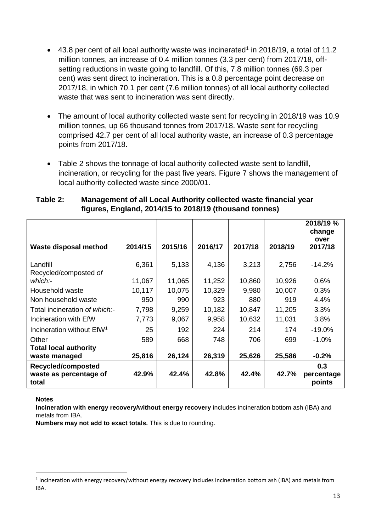- $\bullet$  43.8 per cent of all local authority waste was incinerated<sup>1</sup> in 2018/19, a total of 11.2 million tonnes, an increase of 0.4 million tonnes (3.3 per cent) from 2017/18, offsetting reductions in waste going to landfill. Of this, 7.8 million tonnes (69.3 per cent) was sent direct to incineration. This is a 0.8 percentage point decrease on 2017/18, in which 70.1 per cent (7.6 million tonnes) of all local authority collected waste that was sent to incineration was sent directly.
- The amount of local authority collected waste sent for recycling in 2018/19 was 10.9 million tonnes, up 66 thousand tonnes from 2017/18. Waste sent for recycling comprised 42.7 per cent of all local authority waste, an increase of 0.3 percentage points from 2017/18.
- Table 2 shows the tonnage of local authority collected waste sent to landfill, incineration, or recycling for the past five years. Figure 7 shows the management of local authority collected waste since 2000/01.

#### **Table 2: Management of all Local Authority collected waste financial year figures, England, 2014/15 to 2018/19 (thousand tonnes)**

| Waste disposal method                                 | 2014/15 | 2015/16 | 2016/17 | 2017/18 | 2018/19 | 2018/19 %<br>change<br>over<br>2017/18 |
|-------------------------------------------------------|---------|---------|---------|---------|---------|----------------------------------------|
| Landfill                                              | 6,361   | 5,133   | 4,136   | 3,213   | 2,756   | $-14.2%$                               |
| Recycled/composted of                                 |         |         |         |         |         |                                        |
| which:-                                               | 11,067  | 11,065  | 11,252  | 10,860  | 10,926  | 0.6%                                   |
| Household waste                                       | 10,117  | 10,075  | 10,329  | 9,980   | 10,007  | 0.3%                                   |
| Non household waste                                   | 950     | 990     | 923     | 880     | 919     | 4.4%                                   |
| Total incineration of which:-                         | 7,798   | 9,259   | 10,182  | 10,847  | 11,205  | 3.3%                                   |
| Incineration with EfW                                 | 7,773   | 9,067   | 9,958   | 10,632  | 11,031  | 3.8%                                   |
| Incineration without EfW <sup>1</sup>                 | 25      | 192     | 224     | 214     | 174     | $-19.0%$                               |
| Other                                                 | 589     | 668     | 748     | 706     | 699     | $-1.0%$                                |
| <b>Total local authority</b><br>waste managed         | 25,816  | 26,124  | 26,319  | 25,626  | 25,586  | $-0.2%$                                |
| Recycled/composted<br>waste as percentage of<br>total | 42.9%   | 42.4%   | 42.8%   | 42.4%   | 42.7%   | 0.3<br>percentage<br>points            |

#### **Notes**

**.** 

**Incineration with energy recovery/without energy recovery** includes incineration bottom ash (IBA) and metals from IBA.

**Numbers may not add to exact totals.** This is due to rounding.

<sup>&</sup>lt;sup>1</sup> Incineration with energy recovery/without energy recovery includes incineration bottom ash (IBA) and metals from IBA.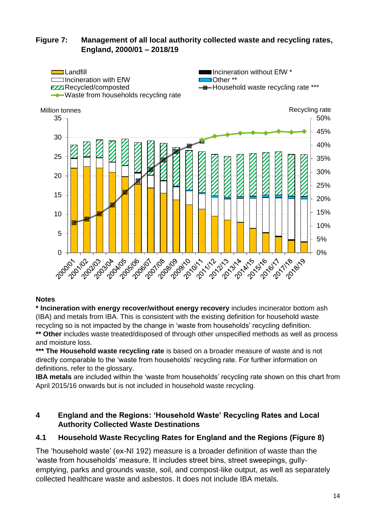### **Figure 7: Management of all local authority collected waste and recycling rates, England, 2000/01 – 2018/19**



#### **Notes**

**\* Incineration with energy recover/without energy recovery** includes incinerator bottom ash (IBA) and metals from IBA. This is consistent with the existing definition for household waste recycling so is not impacted by the change in 'waste from households' recycling definition. **\*\* Other** includes waste treated/disposed of through other unspecified methods as well as process

and moisture loss.

**\*\*\* The Household waste recycling rate** is based on a broader measure of waste and is not directly comparable to the 'waste from households' recycling rate. For further information on definitions, refer to the glossary.

**IBA metals** are included within the 'waste from households' recycling rate shown on this chart from April 2015/16 onwards but is not included in household waste recycling.

#### **4 England and the Regions: 'Household Waste' Recycling Rates and Local Authority Collected Waste Destinations**

#### **4.1 Household Waste Recycling Rates for England and the Regions (Figure 8)**

The 'household waste' (ex-NI 192) measure is a broader definition of waste than the 'waste from households' measure. It includes street bins, street sweepings, gullyemptying, parks and grounds waste, soil, and compost-like output, as well as separately collected healthcare waste and asbestos. It does not include IBA metals.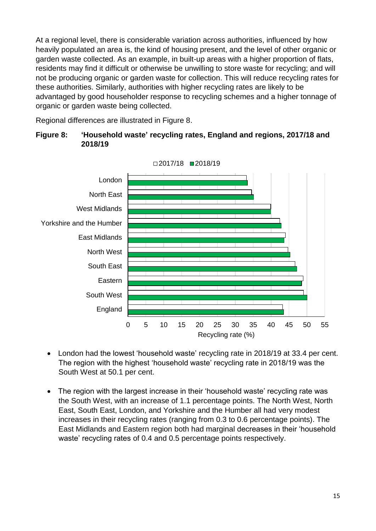At a regional level, there is considerable variation across authorities, influenced by how heavily populated an area is, the kind of housing present, and the level of other organic or garden waste collected. As an example, in built-up areas with a higher proportion of flats, residents may find it difficult or otherwise be unwilling to store waste for recycling; and will not be producing organic or garden waste for collection. This will reduce recycling rates for these authorities. Similarly, authorities with higher recycling rates are likely to be advantaged by good householder response to recycling schemes and a higher tonnage of organic or garden waste being collected.

Regional differences are illustrated in Figure 8.





- London had the lowest 'household waste' recycling rate in 2018/19 at 33.4 per cent. The region with the highest 'household waste' recycling rate in 2018/19 was the South West at 50.1 per cent.
- The region with the largest increase in their 'household waste' recycling rate was the South West, with an increase of 1.1 percentage points. The North West, North East, South East, London, and Yorkshire and the Humber all had very modest increases in their recycling rates (ranging from 0.3 to 0.6 percentage points). The East Midlands and Eastern region both had marginal decreases in their 'household waste' recycling rates of 0.4 and 0.5 percentage points respectively.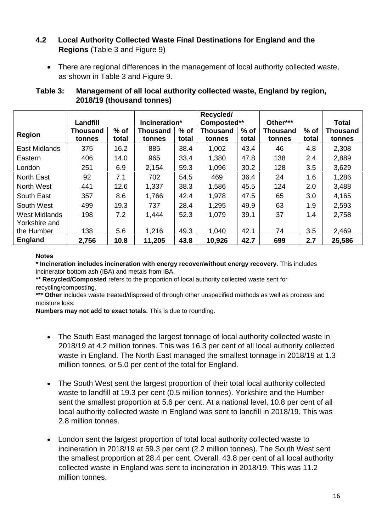### **4.2 Local Authority Collected Waste Final Destinations for England and the Regions** (Table 3 and Figure 9)

• There are regional differences in the management of local authority collected waste, as shown in Table 3 and Figure 9.

|                      |          |        |               |        | Recycled/       |        |                 |        |                 |
|----------------------|----------|--------|---------------|--------|-----------------|--------|-----------------|--------|-----------------|
|                      | Landfill |        | Incineration* |        | Composted**     |        | Other***        |        | <b>Total</b>    |
| Region               | Thousand | $%$ of | Thousand      | $%$ of | <b>Thousand</b> | $%$ of | <b>Thousand</b> | $%$ of | <b>Thousand</b> |
|                      | tonnes   | total  | tonnes        | total  | tonnes          | total  | tonnes          | total  | tonnes          |
| East Midlands        | 375      | 16.2   | 885           | 38.4   | 1,002           | 43.4   | 46              | 4.8    | 2,308           |
| Eastern              | 406      | 14.0   | 965           | 33.4   | 1,380           | 47.8   | 138             | 2.4    | 2,889           |
| London               | 251      | 6.9    | 2,154         | 59.3   | 1,096           | 30.2   | 128             | 3.5    | 3,629           |
| <b>North East</b>    | 92       | 7.1    | 702           | 54.5   | 469             | 36.4   | 24              | 1.6    | 1,286           |
| North West           | 441      | 12.6   | 1,337         | 38.3   | 1,586           | 45.5   | 124             | 2.0    | 3,488           |
| South East           | 357      | 8.6    | 1,766         | 42.4   | 1,978           | 47.5   | 65              | 3.0    | 4,165           |
| South West           | 499      | 19.3   | 737           | 28.4   | 1,295           | 49.9   | 63              | 1.9    | 2,593           |
| <b>West Midlands</b> | 198      | 7.2    | 1,444         | 52.3   | 1,079           | 39.1   | 37              | 1.4    | 2,758           |
| Yorkshire and        |          |        |               |        |                 |        |                 |        |                 |
| the Humber           | 138      | 5.6    | 1,216         | 49.3   | 1,040           | 42.1   | 74              | 3.5    | 2,469           |
| <b>England</b>       | 2,756    | 10.8   | 11,205        | 43.8   | 10,926          | 42.7   | 699             | 2.7    | 25,586          |

## **Table 3: Management of all local authority collected waste, England by region, 2018/19 (thousand tonnes)**

#### **Notes**

**\* Incineration includes incineration with energy recover/without energy recovery**. This includes incinerator bottom ash (IBA) and metals from IBA.

**\*\* Recycled/Composted** refers to the proportion of local authority collected waste sent for recycling/composting.

**\*\*\* Other** includes waste treated/disposed of through other unspecified methods as well as process and moisture loss.

**Numbers may not add to exact totals.** This is due to rounding.

- The South East managed the largest tonnage of local authority collected waste in 2018/19 at 4.2 million tonnes. This was 16.3 per cent of all local authority collected waste in England. The North East managed the smallest tonnage in 2018/19 at 1.3 million tonnes, or 5.0 per cent of the total for England.
- The South West sent the largest proportion of their total local authority collected waste to landfill at 19.3 per cent (0.5 million tonnes). Yorkshire and the Humber sent the smallest proportion at 5.6 per cent. At a national level, 10.8 per cent of all local authority collected waste in England was sent to landfill in 2018/19. This was 2.8 million tonnes.
- London sent the largest proportion of total local authority collected waste to incineration in 2018/19 at 59.3 per cent (2.2 million tonnes). The South West sent the smallest proportion at 28.4 per cent. Overall, 43.8 per cent of all local authority collected waste in England was sent to incineration in 2018/19. This was 11.2 million tonnes.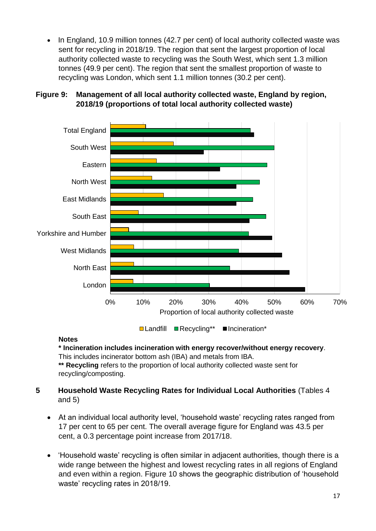In England, 10.9 million tonnes (42.7 per cent) of local authority collected waste was sent for recycling in 2018/19. The region that sent the largest proportion of local authority collected waste to recycling was the South West, which sent 1.3 million tonnes (49.9 per cent). The region that sent the smallest proportion of waste to recycling was London, which sent 1.1 million tonnes (30.2 per cent).



# **Figure 9: Management of all local authority collected waste, England by region, 2018/19 (proportions of total local authority collected waste)**

**□Landfill ■ Recycling\*\*** ■ Incineration\*

#### **Notes**

**\* Incineration includes incineration with energy recover/without energy recovery**. This includes incinerator bottom ash (IBA) and metals from IBA.

**\*\* Recycling** refers to the proportion of local authority collected waste sent for recycling/composting.

# **5 Household Waste Recycling Rates for Individual Local Authorities** (Tables 4 and 5)

- At an individual local authority level, 'household waste' recycling rates ranged from 17 per cent to 65 per cent. The overall average figure for England was 43.5 per cent, a 0.3 percentage point increase from 2017/18.
- 'Household waste' recycling is often similar in adjacent authorities, though there is a wide range between the highest and lowest recycling rates in all regions of England and even within a region. Figure 10 shows the geographic distribution of 'household waste' recycling rates in 2018/19.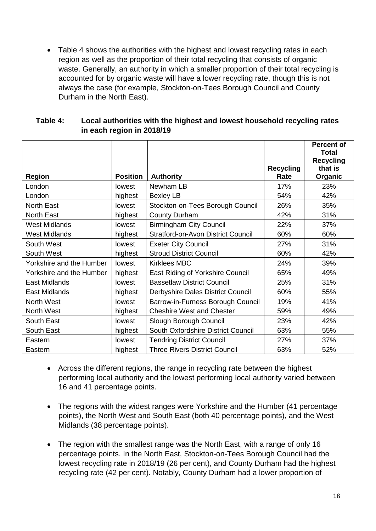• Table 4 shows the authorities with the highest and lowest recycling rates in each region as well as the proportion of their total recycling that consists of organic waste. Generally, an authority in which a smaller proportion of their total recycling is accounted for by organic waste will have a lower recycling rate, though this is not always the case (for example, Stockton-on-Tees Borough Council and County Durham in the North East).

| Table 4: | Local authorities with the highest and lowest household recycling rates |
|----------|-------------------------------------------------------------------------|
|          | in each region in 2018/19                                               |

| <b>Region</b>            | <b>Position</b> | <b>Authority</b>                          | <b>Recycling</b><br>Rate | <b>Percent of</b><br>Total<br><b>Recycling</b><br>that is<br>Organic |
|--------------------------|-----------------|-------------------------------------------|--------------------------|----------------------------------------------------------------------|
| London                   | lowest          | Newham LB                                 | 17%                      | 23%                                                                  |
| London                   | highest         | Bexley LB                                 | 54%                      | 42%                                                                  |
| <b>North East</b>        | lowest          | Stockton-on-Tees Borough Council          | 26%                      | 35%                                                                  |
| <b>North East</b>        | highest         | <b>County Durham</b>                      | 42%                      | 31%                                                                  |
| <b>West Midlands</b>     | lowest          | <b>Birmingham City Council</b>            | 22%                      | 37%                                                                  |
| <b>West Midlands</b>     | highest         | <b>Stratford-on-Avon District Council</b> | 60%                      | 60%                                                                  |
| South West               | lowest          | <b>Exeter City Council</b>                | 27%                      | 31%                                                                  |
| South West               | highest         | <b>Stroud District Council</b>            | 60%                      | 42%                                                                  |
| Yorkshire and the Humber | lowest          | <b>Kirklees MBC</b>                       | 24%                      | 39%                                                                  |
| Yorkshire and the Humber | highest         | East Riding of Yorkshire Council          | 65%                      | 49%                                                                  |
| East Midlands            | lowest          | <b>Bassetlaw District Council</b>         | 25%                      | 31%                                                                  |
| East Midlands            | highest         | Derbyshire Dales District Council         | 60%                      | 55%                                                                  |
| North West               | lowest          | Barrow-in-Furness Borough Council         | 19%                      | 41%                                                                  |
| North West               | highest         | <b>Cheshire West and Chester</b>          | 59%                      | 49%                                                                  |
| South East               | lowest          | Slough Borough Council                    | 23%                      | 42%                                                                  |
| South East               | highest         | South Oxfordshire District Council        | 63%                      | 55%                                                                  |
| Eastern                  | lowest          | <b>Tendring District Council</b>          | 27%                      | 37%                                                                  |
| Eastern                  | highest         | <b>Three Rivers District Council</b>      | 63%                      | 52%                                                                  |

- Across the different regions, the range in recycling rate between the highest performing local authority and the lowest performing local authority varied between 16 and 41 percentage points.
- The regions with the widest ranges were Yorkshire and the Humber (41 percentage points), the North West and South East (both 40 percentage points), and the West Midlands (38 percentage points).
- The region with the smallest range was the North East, with a range of only 16 percentage points. In the North East, Stockton-on-Tees Borough Council had the lowest recycling rate in 2018/19 (26 per cent), and County Durham had the highest recycling rate (42 per cent). Notably, County Durham had a lower proportion of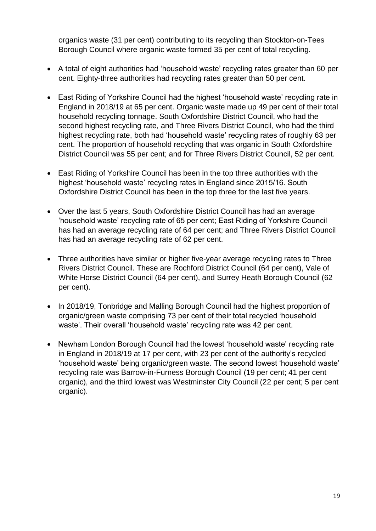organics waste (31 per cent) contributing to its recycling than Stockton-on-Tees Borough Council where organic waste formed 35 per cent of total recycling.

- A total of eight authorities had 'household waste' recycling rates greater than 60 per cent. Eighty-three authorities had recycling rates greater than 50 per cent.
- East Riding of Yorkshire Council had the highest 'household waste' recycling rate in England in 2018/19 at 65 per cent. Organic waste made up 49 per cent of their total household recycling tonnage. South Oxfordshire District Council, who had the second highest recycling rate, and Three Rivers District Council, who had the third highest recycling rate, both had 'household waste' recycling rates of roughly 63 per cent. The proportion of household recycling that was organic in South Oxfordshire District Council was 55 per cent; and for Three Rivers District Council, 52 per cent.
- East Riding of Yorkshire Council has been in the top three authorities with the highest 'household waste' recycling rates in England since 2015/16. South Oxfordshire District Council has been in the top three for the last five years.
- Over the last 5 years, South Oxfordshire District Council has had an average 'household waste' recycling rate of 65 per cent; East Riding of Yorkshire Council has had an average recycling rate of 64 per cent; and Three Rivers District Council has had an average recycling rate of 62 per cent.
- Three authorities have similar or higher five-year average recycling rates to Three Rivers District Council. These are Rochford District Council (64 per cent), Vale of White Horse District Council (64 per cent), and Surrey Heath Borough Council (62 per cent).
- In 2018/19, Tonbridge and Malling Borough Council had the highest proportion of organic/green waste comprising 73 per cent of their total recycled 'household waste'. Their overall 'household waste' recycling rate was 42 per cent.
- Newham London Borough Council had the lowest 'household waste' recycling rate in England in 2018/19 at 17 per cent, with 23 per cent of the authority's recycled 'household waste' being organic/green waste. The second lowest 'household waste' recycling rate was Barrow-in-Furness Borough Council (19 per cent; 41 per cent organic), and the third lowest was Westminster City Council (22 per cent; 5 per cent organic).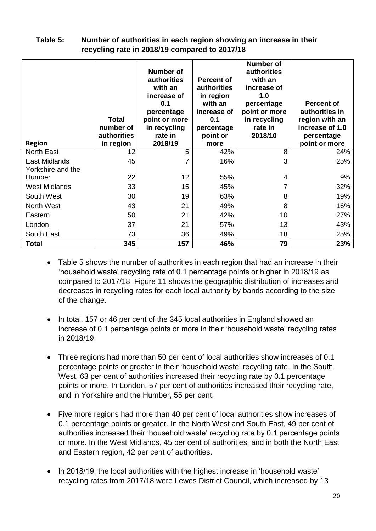| recycling rate in 2018/19 compared to 2017/18 |                                                       |                                                                                                                                |                                                                                                                  |                                                                                                                                       |                                                                                                         |  |
|-----------------------------------------------|-------------------------------------------------------|--------------------------------------------------------------------------------------------------------------------------------|------------------------------------------------------------------------------------------------------------------|---------------------------------------------------------------------------------------------------------------------------------------|---------------------------------------------------------------------------------------------------------|--|
| <b>Region</b>                                 | <b>Total</b><br>number of<br>authorities<br>in region | Number of<br>authorities<br>with an<br>increase of<br>0.1<br>percentage<br>point or more<br>in recycling<br>rate in<br>2018/19 | <b>Percent of</b><br>authorities<br>in region<br>with an<br>increase of<br>0.1<br>percentage<br>point or<br>more | <b>Number of</b><br>authorities<br>with an<br>increase of<br>1.0<br>percentage<br>point or more<br>in recycling<br>rate in<br>2018/10 | <b>Percent of</b><br>authorities in<br>region with an<br>increase of 1.0<br>percentage<br>point or more |  |
| <b>North East</b>                             | 12                                                    | 5                                                                                                                              | 42%                                                                                                              | 8                                                                                                                                     | 24%                                                                                                     |  |
| East Midlands<br>Yorkshire and the            | 45                                                    | 7                                                                                                                              | 16%                                                                                                              | 3                                                                                                                                     | 25%                                                                                                     |  |
| Humber                                        | 22                                                    | 12                                                                                                                             | 55%                                                                                                              | 4                                                                                                                                     | 9%                                                                                                      |  |
| <b>West Midlands</b>                          | 33                                                    | 15                                                                                                                             | 45%                                                                                                              | 7                                                                                                                                     | 32%                                                                                                     |  |
| South West                                    | 30                                                    | 19                                                                                                                             | 63%                                                                                                              | 8                                                                                                                                     | 19%                                                                                                     |  |
| North West                                    | 43                                                    | 21                                                                                                                             | 49%                                                                                                              | 8                                                                                                                                     | 16%                                                                                                     |  |

Eastern 50 | 21 | 42% | 10 | 27% London | 37 | 21 | 57% | 13 | 43% South East 73 36 49% 18 25% **Total 345 157 46% 79 23%**

#### **Table 5: Number of authorities in each region showing an increase in their recycling rate in 2018/19 compared to 2017/18**

- Table 5 shows the number of authorities in each region that had an increase in their 'household waste' recycling rate of 0.1 percentage points or higher in 2018/19 as compared to 2017/18. Figure 11 shows the geographic distribution of increases and decreases in recycling rates for each local authority by bands according to the size of the change.
- In total, 157 or 46 per cent of the 345 local authorities in England showed an increase of 0.1 percentage points or more in their 'household waste' recycling rates in 2018/19.
- Three regions had more than 50 per cent of local authorities show increases of 0.1 percentage points or greater in their 'household waste' recycling rate. In the South West, 63 per cent of authorities increased their recycling rate by 0.1 percentage points or more. In London, 57 per cent of authorities increased their recycling rate, and in Yorkshire and the Humber, 55 per cent.
- Five more regions had more than 40 per cent of local authorities show increases of 0.1 percentage points or greater. In the North West and South East, 49 per cent of authorities increased their 'household waste' recycling rate by 0.1 percentage points or more. In the West Midlands, 45 per cent of authorities, and in both the North East and Eastern region, 42 per cent of authorities.
- In 2018/19, the local authorities with the highest increase in 'household waste' recycling rates from 2017/18 were Lewes District Council, which increased by 13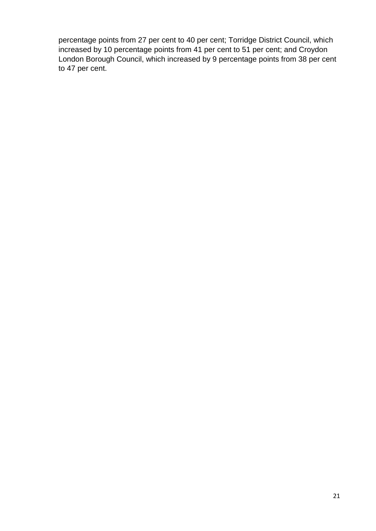percentage points from 27 per cent to 40 per cent; Torridge District Council, which increased by 10 percentage points from 41 per cent to 51 per cent; and Croydon London Borough Council, which increased by 9 percentage points from 38 per cent to 47 per cent.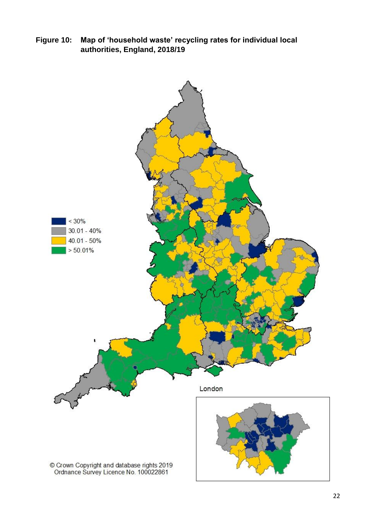**Figure 10: Map of 'household waste' recycling rates for individual local authorities, England, 2018/19** 

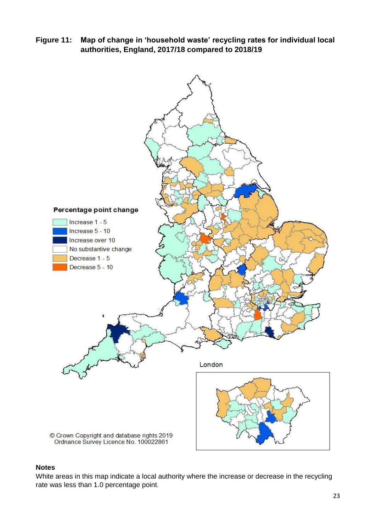**Figure 11: Map of change in 'household waste' recycling rates for individual local authorities, England, 2017/18 compared to 2018/19** 



#### **Notes**

White areas in this map indicate a local authority where the increase or decrease in the recycling rate was less than 1.0 percentage point.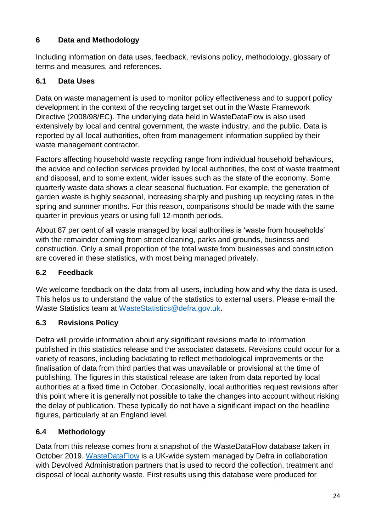# <span id="page-23-0"></span>**6 Data and Methodology**

Including information on data uses, feedback, revisions policy, methodology, glossary of terms and measures, and references.

# **6.1 Data Uses**

Data on waste management is used to monitor policy effectiveness and to support policy development in the context of the recycling target set out in the Waste Framework Directive (2008/98/EC). The underlying data held in WasteDataFlow is also used extensively by local and central government, the waste industry, and the public. Data is reported by all local authorities, often from management information supplied by their waste management contractor.

Factors affecting household waste recycling range from individual household behaviours, the advice and collection services provided by local authorities, the cost of waste treatment and disposal, and to some extent, wider issues such as the state of the economy. Some quarterly waste data shows a clear seasonal fluctuation. For example, the generation of garden waste is highly seasonal, increasing sharply and pushing up recycling rates in the spring and summer months. For this reason, comparisons should be made with the same quarter in previous years or using full 12-month periods.

About 87 per cent of all waste managed by local authorities is 'waste from households' with the remainder coming from street cleaning, parks and grounds, business and construction. Only a small proportion of the total waste from businesses and construction are covered in these statistics, with most being managed privately.

# **6.2 Feedback**

We welcome feedback on the data from all users, including how and why the data is used. This helps us to understand the value of the statistics to external users. Please e-mail the Waste Statistics team at [WasteStatistics@defra.gov.uk.](mailto:WasteStatistics@defra.gov.uk)

# **6.3 Revisions Policy**

Defra will provide information about any significant revisions made to information published in this statistics release and the associated datasets. Revisions could occur for a variety of reasons, including backdating to reflect methodological improvements or the finalisation of data from third parties that was unavailable or provisional at the time of publishing. The figures in this statistical release are taken from data reported by local authorities at a fixed time in October. Occasionally, local authorities request revisions after this point where it is generally not possible to take the changes into account without risking the delay of publication. These typically do not have a significant impact on the headline figures, particularly at an England level.

# **6.4 Methodology**

Data from this release comes from a snapshot of the WasteDataFlow database taken in October 2019. [WasteDataFlow](https://www.wastedataflow.org/) is a UK-wide system managed by Defra in collaboration with Devolved Administration partners that is used to record the collection, treatment and disposal of local authority waste. First results using this database were produced for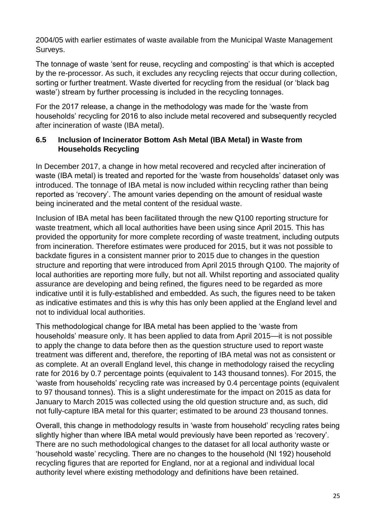2004/05 with earlier estimates of waste available from the Municipal Waste Management Surveys.

The tonnage of waste 'sent for reuse, recycling and composting' is that which is accepted by the re-processor. As such, it excludes any recycling rejects that occur during collection, sorting or further treatment. Waste diverted for recycling from the residual (or 'black bag waste') stream by further processing is included in the recycling tonnages.

For the 2017 release, a change in the methodology was made for the 'waste from households' recycling for 2016 to also include metal recovered and subsequently recycled after incineration of waste (IBA metal).

# **6.5 Inclusion of Incinerator Bottom Ash Metal (IBA Metal) in Waste from Households Recycling**

In December 2017, a change in how metal recovered and recycled after incineration of waste (IBA metal) is treated and reported for the 'waste from households' dataset only was introduced. The tonnage of IBA metal is now included within recycling rather than being reported as 'recovery'. The amount varies depending on the amount of residual waste being incinerated and the metal content of the residual waste.

Inclusion of IBA metal has been facilitated through the new Q100 reporting structure for waste treatment, which all local authorities have been using since April 2015. This has provided the opportunity for more complete recording of waste treatment, including outputs from incineration. Therefore estimates were produced for 2015, but it was not possible to backdate figures in a consistent manner prior to 2015 due to changes in the question structure and reporting that were introduced from April 2015 through Q100. The majority of local authorities are reporting more fully, but not all. Whilst reporting and associated quality assurance are developing and being refined, the figures need to be regarded as more indicative until it is fully-established and embedded. As such, the figures need to be taken as indicative estimates and this is why this has only been applied at the England level and not to individual local authorities.

This methodological change for IBA metal has been applied to the 'waste from households' measure only. It has been applied to data from April 2015—it is not possible to apply the change to data before then as the question structure used to report waste treatment was different and, therefore, the reporting of IBA metal was not as consistent or as complete. At an overall England level, this change in methodology raised the recycling rate for 2016 by 0.7 percentage points (equivalent to 143 thousand tonnes). For 2015, the 'waste from households' recycling rate was increased by 0.4 percentage points (equivalent to 97 thousand tonnes). This is a slight underestimate for the impact on 2015 as data for January to March 2015 was collected using the old question structure and, as such, did not fully-capture IBA metal for this quarter; estimated to be around 23 thousand tonnes.

Overall, this change in methodology results in 'waste from household' recycling rates being slightly higher than where IBA metal would previously have been reported as 'recovery'. There are no such methodological changes to the dataset for all local authority waste or 'household waste' recycling. There are no changes to the household (NI 192) household recycling figures that are reported for England, nor at a regional and individual local authority level where existing methodology and definitions have been retained.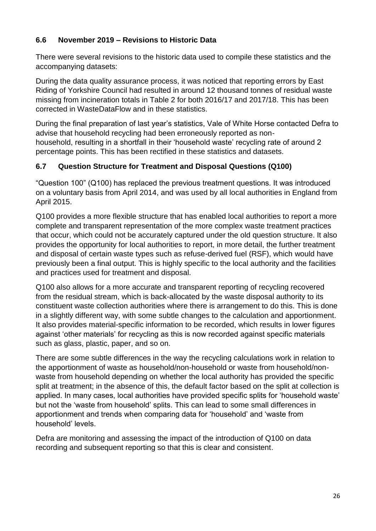# **6.6 November 2019 – Revisions to Historic Data**

There were several revisions to the historic data used to compile these statistics and the accompanying datasets:

During the data quality assurance process, it was noticed that reporting errors by East Riding of Yorkshire Council had resulted in around 12 thousand tonnes of residual waste missing from incineration totals in Table 2 for both 2016/17 and 2017/18. This has been corrected in WasteDataFlow and in these statistics.

During the final preparation of last year's statistics, Vale of White Horse contacted Defra to advise that household recycling had been erroneously reported as nonhousehold, resulting in a shortfall in their 'household waste' recycling rate of around 2 percentage points. This has been rectified in these statistics and datasets.

#### **6.7 Question Structure for Treatment and Disposal Questions (Q100)**

"Question 100" (Q100) has replaced the previous treatment questions. It was introduced on a voluntary basis from April 2014, and was used by all local authorities in England from April 2015.

Q100 provides a more flexible structure that has enabled local authorities to report a more complete and transparent representation of the more complex waste treatment practices that occur, which could not be accurately captured under the old question structure. It also provides the opportunity for local authorities to report, in more detail, the further treatment and disposal of certain waste types such as refuse-derived fuel (RSF), which would have previously been a final output. This is highly specific to the local authority and the facilities and practices used for treatment and disposal.

Q100 also allows for a more accurate and transparent reporting of recycling recovered from the residual stream, which is back-allocated by the waste disposal authority to its constituent waste collection authorities where there is arrangement to do this. This is done in a slightly different way, with some subtle changes to the calculation and apportionment. It also provides material-specific information to be recorded, which results in lower figures against 'other materials' for recycling as this is now recorded against specific materials such as glass, plastic, paper, and so on.

There are some subtle differences in the way the recycling calculations work in relation to the apportionment of waste as household/non-household or waste from household/nonwaste from household depending on whether the local authority has provided the specific split at treatment; in the absence of this, the default factor based on the split at collection is applied. In many cases, local authorities have provided specific splits for 'household waste' but not the 'waste from household' splits. This can lead to some small differences in apportionment and trends when comparing data for 'household' and 'waste from household' levels.

Defra are monitoring and assessing the impact of the introduction of Q100 on data recording and subsequent reporting so that this is clear and consistent.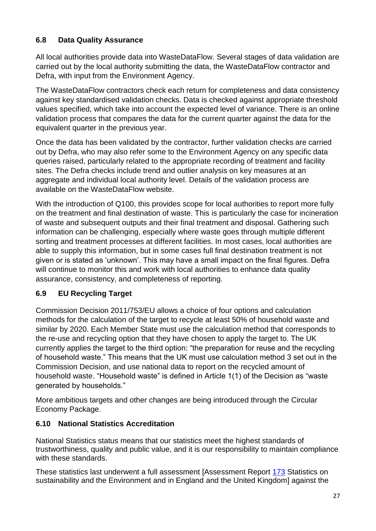# **6.8 Data Quality Assurance**

All local authorities provide data into WasteDataFlow. Several stages of data validation are carried out by the local authority submitting the data, the WasteDataFlow contractor and Defra, with input from the Environment Agency.

The WasteDataFlow contractors check each return for completeness and data consistency against key standardised validation checks. Data is checked against appropriate threshold values specified, which take into account the expected level of variance. There is an online validation process that compares the data for the current quarter against the data for the equivalent quarter in the previous year.

Once the data has been validated by the contractor, further validation checks are carried out by Defra, who may also refer some to the Environment Agency on any specific data queries raised, particularly related to the appropriate recording of treatment and facility sites. The Defra checks include trend and outlier analysis on key measures at an aggregate and individual local authority level. Details of the validation process are available on the WasteDataFlow website.

With the introduction of Q100, this provides scope for local authorities to report more fully on the treatment and final destination of waste. This is particularly the case for incineration of waste and subsequent outputs and their final treatment and disposal. Gathering such information can be challenging, especially where waste goes through multiple different sorting and treatment processes at different facilities. In most cases, local authorities are able to supply this information, but in some cases full final destination treatment is not given or is stated as 'unknown'. This may have a small impact on the final figures. Defra will continue to monitor this and work with local authorities to enhance data quality assurance, consistency, and completeness of reporting.

# **6.9 EU Recycling Target**

Commission Decision 2011/753/EU allows a choice of four options and calculation methods for the calculation of the target to recycle at least 50% of household waste and similar by 2020. Each Member State must use the calculation method that corresponds to the re-use and recycling option that they have chosen to apply the target to. The UK currently applies the target to the third option: "the preparation for reuse and the recycling of household waste." This means that the UK must use calculation method 3 set out in the Commission Decision, and use national data to report on the recycled amount of household waste. "Household waste" is defined in Article 1(1) of the Decision as "waste generated by households."

More ambitious targets and other changes are being introduced through the Circular Economy Package.

# **6.10 National Statistics Accreditation**

National Statistics status means that our statistics meet the highest standards of trustworthiness, quality and public value, and it is our responsibility to maintain compliance with these standards.

These statistics last underwent a full assessment [Assessment Report [173](https://www.statisticsauthority.gov.uk/wp-content/uploads/2015/12/images-report173statisticsonsustainabilityandtheenvironmentinenglandandtheu_tcm97-41476.pdf) Statistics on sustainability and the Environment and in England and the United Kingdom] against the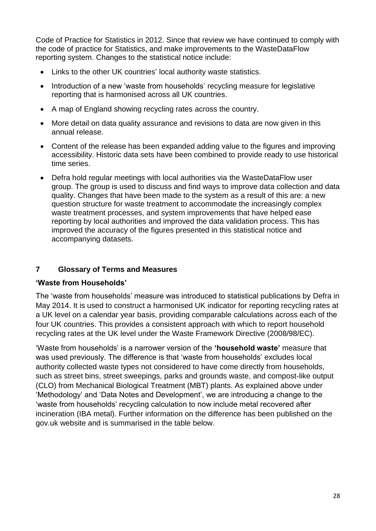Code of Practice for Statistics in 2012. Since that review we have continued to comply with the code of practice for Statistics, and make improvements to the WasteDataFlow reporting system. Changes to the statistical notice include:

- Links to the other UK countries' local authority waste statistics.
- Introduction of a new 'waste from households' recycling measure for legislative reporting that is harmonised across all UK countries.
- A map of England showing recycling rates across the country.
- More detail on data quality assurance and revisions to data are now given in this annual release.
- Content of the release has been expanded adding value to the figures and improving accessibility. Historic data sets have been combined to provide ready to use historical time series.
- Defra hold regular meetings with local authorities via the WasteDataFlow user group. The group is used to discuss and find ways to improve data collection and data quality. Changes that have been made to the system as a result of this are: a new question structure for waste treatment to accommodate the increasingly complex waste treatment processes, and system improvements that have helped ease reporting by local authorities and improved the data validation process. This has improved the accuracy of the figures presented in this statistical notice and accompanying datasets.

#### **7 Glossary of Terms and Measures**

#### **'Waste from Households'**

The 'waste from households' measure was introduced to statistical publications by Defra in May 2014. It is used to construct a harmonised UK indicator for reporting recycling rates at a UK level on a calendar year basis, providing comparable calculations across each of the four UK countries. This provides a consistent approach with which to report household recycling rates at the UK level under the Waste Framework Directive (2008/98/EC).

'Waste from households' is a narrower version of the **'household waste'** measure that was used previously. The difference is that 'waste from households' excludes local authority collected waste types not considered to have come directly from households, such as street bins, street sweepings, parks and grounds waste, and compost-like output (CLO) from Mechanical Biological Treatment (MBT) plants. As explained above under 'Methodology' and 'Data Notes and Development', we are introducing a change to the 'waste from households' recycling calculation to now include metal recovered after incineration (IBA metal). Further information on the difference has been published on the gov.uk website and is summarised in the table below.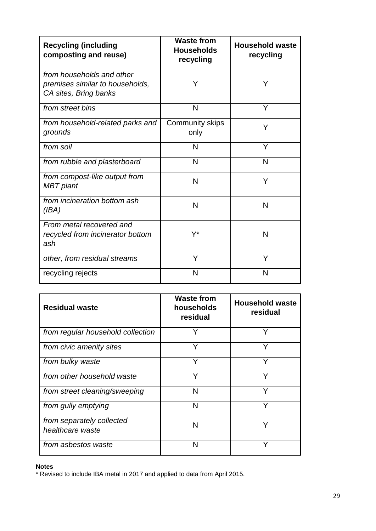| <b>Recycling (including</b><br>composting and reuse)                                  | <b>Waste from</b><br><b>Households</b><br>recycling | <b>Household waste</b><br>recycling |
|---------------------------------------------------------------------------------------|-----------------------------------------------------|-------------------------------------|
| from households and other<br>premises similar to households,<br>CA sites, Bring banks | Y                                                   | Y                                   |
| from street bins                                                                      | N                                                   | Y                                   |
| from household-related parks and<br>grounds                                           | <b>Community skips</b><br>only                      | Y                                   |
| from soil                                                                             | N                                                   | Y                                   |
| from rubble and plasterboard                                                          | N                                                   | N                                   |
| from compost-like output from<br>MBT plant                                            | N                                                   | Ý                                   |
| from incineration bottom ash<br>(IBA)                                                 | N                                                   | N                                   |
| From metal recovered and<br>recycled from incinerator bottom<br>ash                   | Y*                                                  | N                                   |
| other, from residual streams                                                          | Y                                                   | Y                                   |
| recycling rejects                                                                     | N                                                   | N                                   |

| <b>Residual waste</b>                         | <b>Waste from</b><br>households<br>residual | <b>Household waste</b><br>residual |
|-----------------------------------------------|---------------------------------------------|------------------------------------|
| from regular household collection             | Y                                           | Y                                  |
| from civic amenity sites                      | Y                                           | Y                                  |
| from bulky waste                              | Y                                           | v                                  |
| from other household waste                    | Y                                           | Y                                  |
| from street cleaning/sweeping                 | N                                           | Υ                                  |
| from gully emptying                           | N                                           | Υ                                  |
| from separately collected<br>healthcare waste | N                                           |                                    |
| from asbestos waste                           | N                                           | γ                                  |

#### **Notes**

\* Revised to include IBA metal in 2017 and applied to data from April 2015.